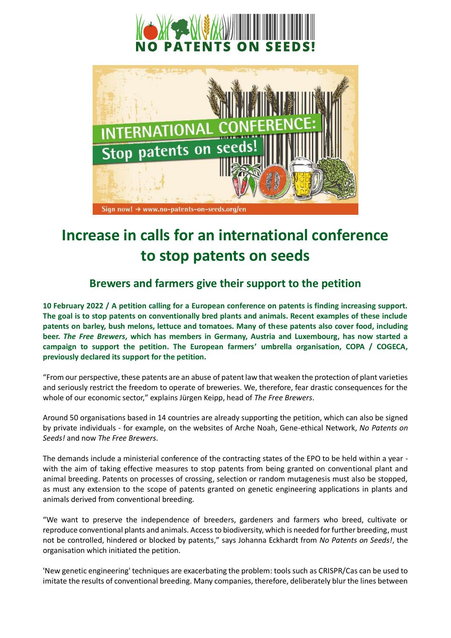



## **Increase in calls for an international conference to stop patents on seeds**

## **Brewers and farmers give their support to the petition**

**10 February 2022 / A petition calling for a European conference on patents is finding increasing support. The goal is to stop patents on conventionally bred plants and animals. Recent examples of these include patents on barley, bush melons, lettuce and tomatoes. Many of these patents also cover food, including beer.** *The Free Brewers***, which has members in Germany, Austria and Luxembourg, has now started a campaign to support the petition. The European farmers' umbrella organisation, COPA / COGECA, previously declared its support for the petition.** 

"From our perspective, these patents are an abuse of patent law that weaken the protection of plant varieties and seriously restrict the freedom to operate of breweries. We, therefore, fear drastic consequences for the whole of our economic sector," explains Jürgen Keipp, head of *The Free Brewers*.

Around 50 organisations based in 14 countries are already supporting the petition, which can also be signed by private individuals - for example, on the websites of Arche Noah, Gene-ethical Network, *No Patents on Seeds!* and now *The Free Brewers*.

The demands include a ministerial conference of the contracting states of the EPO to be held within a year with the aim of taking effective measures to stop patents from being granted on conventional plant and animal breeding. Patents on processes of crossing, selection or random mutagenesis must also be stopped, as must any extension to the scope of patents granted on genetic engineering applications in plants and animals derived from conventional breeding.

"We want to preserve the independence of breeders, gardeners and farmers who breed, cultivate or reproduce conventional plants and animals. Access to biodiversity, which is needed for further breeding, must not be controlled, hindered or blocked by patents," says Johanna Eckhardt from *No Patents on Seeds!*, the organisation which initiated the petition.

'New genetic engineering' techniques are exacerbating the problem: tools such as CRISPR/Cas can be used to imitate the results of conventional breeding. Many companies, therefore, deliberately blur the lines between